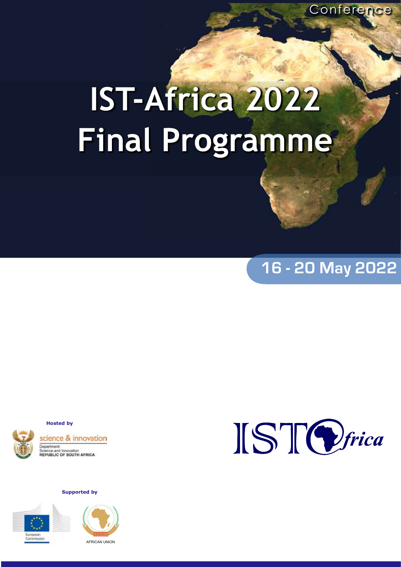# **IST-Africa 2022 Final Programme**

# **16 - 20 May 2022**

**Hosted by**



**Supported by**





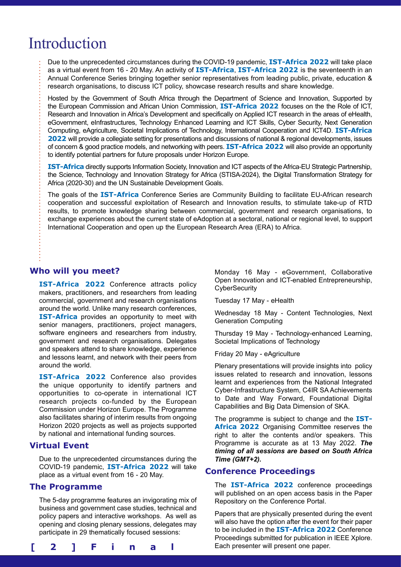# Introduction

Due to the unprecedented circumstances during the COVID-19 pandemic, **IST-Africa 2022** will take place as a virtual event from 16 - 20 May. An activity of **IST-Africa**, **IST-Africa 2022** is the seventeenth in an Annual Conference Series bringing together senior representatives from leading public, private, education & research organisations, to discuss ICT policy, showcase research results and share knowledge.

Hosted by the Government of South Africa through the Department of Science and Innovation, Supported by the European Commission and African Union Commission, **IST-Africa 2022** focuses on the the Role of ICT, Research and Innovation in Africa's Development and specifically on Applied ICT research in the areas of eHealth, eGovernment, eInfrastructures, Technology Enhanced Learning and ICT Skills, Cyber Security, Next Generation Computing, eAgriculture, Societal Implications of Technology, International Cooperation and ICT4D. **IST-Africa 2022** will provide a collegiate setting for presentations and discussions of national & regional developments, issues of concern & good practice models, and networking with peers. **IST-Africa 2022** will also provide an opportunity to identify potential partners for future proposals under Horizon Europe.

**IST-Africa** directly supports Information Society, Innovation and ICT aspects of the Africa-EU Strategic Partnership, the Science, Technology and Innovation Strategy for Africa (STISA-2024), the Digital Transformation Strategy for Africa (2020-30) and the UN Sustainable Development Goals.

The goals of the **IST-Africa** Conference Series are Community Building to facilitate EU-African research cooperation and successful exploitation of Research and Innovation results, to stimulate take-up of RTD results, to promote knowledge sharing between commercial, government and research organisations, to exchange experiences about the current state of eAdoption at a sectoral, national or regional level, to support International Cooperation and open up the European Research Area (ERA) to Africa.

# **Who will you meet?**

**IST-Africa 2022** Conference attracts policy makers, practitioners, and researchers from leading commercial, government and research organisations around the world. Unlike many research conferences, **IST-Africa** provides an opportunity to meet with senior managers, practitioners, project managers, software engineers and researchers from industry, government and research organisations. Delegates and speakers attend to share knowledge, experience and lessons learnt, and network with their peers from around the world.

**IST-Africa 2022** Conference also provides the unique opportunity to identify partners and opportunities to co-operate in international ICT research projects co-funded by the European Commission under Horizon Europe. The Programme also facilitates sharing of interim results from ongoing Horizon 2020 projects as well as projects supported by national and international funding sources.

# **Virtual Event**

Due to the unprecedented circumstances during the COVID-19 pandemic, **IST-Africa 2022** will take place as a virtual event from 16 - 20 May.

# **The Programme**

The 5-day programme features an invigorating mix of business and government case studies, technical and policy papers and interactive workshops. As well as opening and closing plenary sessions, delegates may participate in 29 thematically focused sessions:



Monday 16 May - eGovernment, Collaborative Open Innovation and ICT-enabled Entrepreneurship, **CyberSecurity** 

Tuesday 17 May - eHealth

Wednesday 18 May - Content Technologies, Next Generation Computing

Thursday 19 May - Technology-enhanced Learning, Societal Implications of Technology

Friday 20 May - eAgriculture

Plenary presentations will provide insights into policy issues related to research and innovation, lessons learnt and experiences from the National Integrated Cyber-Infrastructure System, C4IR SA Achievements to Date and Way Forward, Foundational Digital Capabilities and Big Data Dimension of SKA.

The programme is subject to change and the **IST-Africa 2022** Organising Committee reserves the right to alter the contents and/or speakers. This Programme is accurate as at 13 May 2022. *The timing of all sessions are based on South Africa Time (GMT+2).*

# **Conference Proceedings**

The **IST-Africa 2022** conference proceedings will published on an open access basis in the Paper Repository on the Conference Portal.

Papers that are physically presented during the event will also have the option after the event for their paper to be included in the **IST-Africa 2022** Conference Proceedings submitted for publication in IEEE Xplore.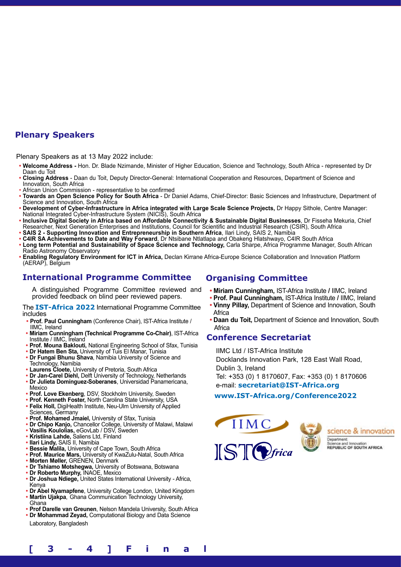# **Plenary Speakers**

Plenary Speakers as at 13 May 2022 include:

- **Welcome Address** Hon. Dr. Blade Nzimande, Minister of Higher Education, Science and Technology, South Africa represented by Dr **•** Daan du Toit
- **Closing Address** Daan du Toit, Deputy Director-General: International Cooperation and Resources, Department of Science and **•** Innovation, South Africa
- African Union Commission representative to be confirmed •
- **Towards an Open Science Policy for South Africa** Dr Daniel Adams, Chief-Director: Basic Sciences and Infrastructure, Department of **•** Science and Innovation, South Africa
- **Development of Cyber-Infrastructure in Africa integrated with Large Scale Science Projects,** Dr Happy Sithole, Centre Manager: **•** National Integrated Cyber-Infrastructure System (NICIS), South Africa
- **Inclusive Digital Society in Africa based on Affordable Connectivity & Sustainable Digital Businesses**, Dr Fisseha Mekuria, Chief **•** Researcher, Next Generation Enterprises and Institutions, Council for Scientific and Industrial Research (CSIR), South Africa
- **SAIS 2 Supporting Innovation and Entrepreneurship in Southern Africa**, Ilari Lindy, SAIS 2, Namibia **•**
- **C4IR SA Achievements to Date and Way Forward**, Dr Ntsibane Ntlatlapa and Obakeng Hlatshwayo, C4IR South Africa **•**
- Long term Potential and Sustainability of Space Science and Technology, Carla Sharpe, Africa Programme Manager, South African Radio Astronomy Observatory **•**
- **Enabling Regulatory Environment for ICT in Africa,** Declan Kirrane Africa-Europe Science Collaboration and Innovation Platform (AERAP), Belgium **•**

# **International Programme Committee**

A distinguished Programme Committee reviewed and provided feedback on blind peer reviewed papers.

The **IST-Africa 2022** International Programme Committee includes

- **Prof. Paul Cunningham** (Conference Chair), IST-Africa Institute / **•** IIMC, Ireland
- **Miriam Cunningham (Technical Programme Co-Chair)**, IST-Africa **•** Institute / IIMC, Ireland
- **Prof. Mouna Baklouti,** National Engineering School of Sfax, Tunisia **•**
- **Dr Hatem Ben Sta,** University of Tuis El Manar, Tunisia **Dr Fungai Bhunu Shava**, Namibia University of Science and Technology, Namibia **• •**
- **Laurens Cloete,** University of Pretoria, South Africa **•**
- **Dr Jan-Carel Diehl,** Delft University of Technology, Netherlands **•**
- **Dr Julieta Domínguez-Soberanes**, Universidad Panamericana, Mexico **•**
- **Prof. Love Ekenberg**, DSV, Stockholm University, Sweden **•**
- **Prof. Kenneth Foster,** North Carolina State University, USA **• Felix Holl,** DigiHealth Institute, Neu-Ulm University of Applied **•** Sciences, Germany
- **Prof. Mohamed Jmaiel,** University of Sfax, Tunisia **•**
- **Dr Chipo Kanjo,** Chancellor College, University of Malawi, Malawi **•**
- **Vasilis Koulolias,** eGovLab / DSV, Sweden **•**
- **Kristiina Lahde,** Saliens Ltd, Finland **•**
- **Ilari Lindy,** SAIS II, Namibia **•**
- **Bessie Malila,** University of Cape Town, South Africa **•**
- **Prof. Maurice Mars,** University of KwaZulu-Natal, South Africa **•**
- **Morten Møller,** GRENEN, Denmark **•**
- **Dr Tshiamo Motshegwa,** University of Botswana, Botswana **•**
- **Dr Roberto Murphy,** INAOE, Mexico **•**
- **Dr Joshua Ndiege,** United States International University Africa, Kenya **•**
- **Dr Abel Nyamapfene**, University College London, United Kingdom **•**
- **Martin Ujakpa**, Ghana Communication Technology University, **•** Ghana
- **Prof Darelle van Greunen**, Nelson Mandela University, South Africa **•**
- **Dr Mohammad Zeyad,** Computational Biology and Data Science **•** Laboratory, Bangladesh

# **Organising Committee**

- **Miriam Cunningham,** IST-Africa Institute **/** IIMC, Ireland **•**
- **Prof. Paul Cunningham,** IST-Africa Institute **/** IIMC, Ireland **• Vinny Pillay,** Department of Science and Innovation, South **•**
- Africa **Daan du Toit,** Department of Science and Innovation, South **•** Africa

# **Conference Secretariat**

IIMC Ltd / IST-Africa Institute Docklands Innovation Park, 128 East Wall Road, Dublin 3, Ireland Tel: +353 (0) 1 8170607, Fax: +353 (0) 1 8170606 e-mail: **secretariat@IST-Africa.org**

# **www.IST-Africa.org/Conference2022**







**[ 3 - 4 ] F i n a l P r o g r a m m e**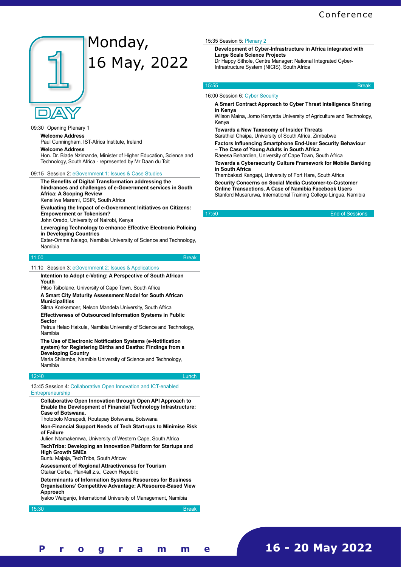

# Monday, 16 May, 2022

# 09:30 Opening Plenary 1

**Welcome Address**

Paul Cunningham, IST-Africa Institute, Ireland

**Welcome Address**

Hon. Dr. Blade Nzimande, Minister of Higher Education, Science and Technology, South Africa - represented by Mr Daan du Toit

# 09:15 Session 2: eGovernment 1: Issues & Case Studies

**The Benefits of Digital Transformation addressing the hindrances and challenges of e-Government services in South Africa: A Scoping Review**

Keneilwe Maremi, CSIR, South Africa

**Evaluating the Impact of e-Government Initiatives on Citizens: Empowerment or Tokenism?**

John Oredo, University of Nairobi, Kenya

## **Leveraging Technology to enhance Effective Electronic Policing in Developing Countries**

Ester-Omma Nelago, Namibia University of Science and Technology, Namibia

# 11:00 Break and the contract of the contract of the contract of the Break

11:10 Session 3: eGovernment 2: Issues & Applications

## **Intention to Adopt e-Voting: A Perspective of South African Youth**

Pitso Tsibolane, University of Cape Town, South Africa

**A Smart City Maturity Assessment Model for South African Municipalities**

Silma Koekemoer, Nelson Mandela University, South Africa

**Effectiveness of Outsourced Information Systems in Public Sector**

Petrus Helao Haixula, Namibia University of Science and Technology, Namibia

**The Use of Electronic Notification Systems (e-Notification system) for Registering Births and Deaths: Findings from a Developing Country**

Maria Shilamba, Namibia University of Science and Technology, Namibia

# 12:40 Lunch

13:45 Session 4: Collaborative Open Innovation and ICT-enabled Entrepreneurship

**Collaborative Open Innovation through Open API Approach to Enable the Development of Financial Technology Infrastructure: Case of Botswana.**

Thotobolo Morapedi, Routepay Botswana, Botswana

**Non-Financial Support Needs of Tech Start-ups to Minimise Risk of Failure**

Julien Ntamakemwa, University of Western Cape, South Africa

**TechTribe: Developing an Innovation Platform for Startups and High Growth SMEs**

Buntu Majaja, TechTribe, South Africav

**Assessment of Regional Attractiveness for Tourism** Otakar Cerba, Plan4all z.s., Czech Republic

**Determinants of Information Systems Resources for Business Organisations' Competitive Advantage: A Resource-Based View Approach**

Iyaloo Waiganjo, International University of Management, Namibia

15:30 Break and the contract of the contract of the contract of the contract of the Break

**[ 3 - 4 ] F i n a l P r o g r a m m e**

# 15:35 Session 5: Plenary 2

**Development of Cyber-Infrastructure in Africa integrated with Large Scale Science Projects** Dr Happy Sithole, Centre Manager: National Integrated Cyber-Infrastructure System (NICIS), South Africa

## 15:55 Break and the contract of the contract of the contract of the contract of the Break

# 16:00 Session 6: Cyber Security

**A Smart Contract Approach to Cyber Threat Intelligence Sharing in Kenya**

Wilson Maina, Jomo Kenyatta University of Agriculture and Technology, Kenya

**Towards a New Taxonomy of Insider Threats**

Sarathiel Chaipa, University of South Africa, Zimbabwe

**Factors Influencing Smartphone End-User Security Behaviour – The Case of Young Adults in South Africa**

Raeesa Behardien, University of Cape Town, South Africa

**Towards a Cybersecurity Culture Framework for Mobile Banking in South Africa**

Thembakazi Kangapi, University of Fort Hare, South Africa

**Security Concerns on Social Media Customer-to-Customer Online Transactions. A Case of Namibia Facebook Users** Stanford Musarurwa, International Training College Lingua, Namibia

17:50 End of Sessions

**16 - 20 May 2022**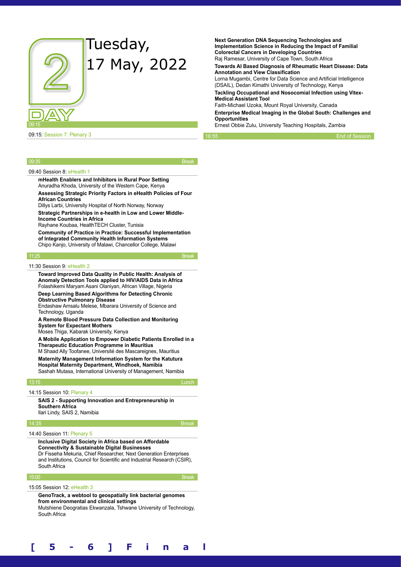

# 09:15: Session 7: Plenary 3

**Next Generation DNA Sequencing Technologies and Implementation Science in Reducing the Impact of Familial Colorectal Cancers in Developing Countries** Raj Ramesar, University of Cape Town, South Africa

**Towards AI Based Diagnosis of Rheumatic Heart Disease: Data Annotation and View Classification**

Lorna Mugambi, Centre for Data Science and Artificial Intelligence (DSAIL), Dedan Kimathi University of Technology, Kenya

**Tackling Occupational and Nosocomial Infection using Vitex-Medical Assistant Tool**

Faith-Michael Uzoka, Mount Royal University, Canada

**Enterprise Medical Imaging in the Global South: Challenges and Opportunities**

**[ 5 - 6 ] F i n a l P r o g r a m m e**

Ernest Obbie Zulu, University Teaching Hospitals, Zambia

End of Session

## 09:35 Break

### 09:40 Session 8: eHealth 1

**mHealth Enablers and Inhibitors in Rural Poor Setting** Anuradha Khoda, University of the Western Cape, Kenya

**Assessing Strategic Priority Factors in eHealth Policies of Four African Countries**

Dillys Larbi, University Hospital of North Norway, Norway

**Strategic Partnerships in e-health in Low and Lower Middle-Income Countries in Africa**

Rayhane Koubaa, HealthTECH Cluster, Tunisia

**Community of Practice in Practice: Successful Implementation of Integrated Community Health Information Systems** Chipo Kanjo, University of Malawi, Chancellor College, Malawi

11:25 Break

# 11:30 Session 9: eHealth 2

**Toward Improved Data Quality in Public Health: Analysis of Anomaly Detection Tools applied to HIV/AIDS Data in Africa** Folashikemi Maryam Asani Olaniyan, African Village, Nigeria **Deep Learning Based Algorithms for Detecting Chronic Obstructive Pulmonary Disease**

Endashaw Amsalu Melese, Mbarara University of Science and Technology, Uganda

**A Remote Blood Pressure Data Collection and Monitoring System for Expectant Mothers**

Moses Thiga, Kabarak University, Kenya

**A Mobile Application to Empower Diabetic Patients Enrolled in a Therapeutic Education Programme in Mauritius** M Shaad Ally Toofanee, Université des Mascareignes, Mauritius **Maternity Management Information System for the Katutura Hospital Maternity Department, Windhoek, Namibia**

Sashah Mutasa, International University of Management, Namibia

### 13:15 Lunch

14:15 Session 10: Plenary 4

**SAIS 2 - Supporting Innovation and Entrepreneurship in Southern Africa** Ilari Lindy, SAIS 2, Namibia

14:35 Break

### 14:40 Session 11: Plenary 5

**Inclusive Digital Society in Africa based on Affordable Connectivity & Sustainable Digital Businesses** Dr Fisseha Mekuria, Chief Researcher, Next Generation Enterprises and Institutions, Council for Scientific and Industrial Research (CSIR), South Africa

## 15:00 Break and the contract of the contract of the contract of the contract of the Break

15:05 Session 12: eHealth 3

**GenoTrack, a webtool to geospatially link bacterial genomes from environmental and clinical settings**

Mutshiene Deogratias Ekwanzala, Tshwane University of Technology, South Africa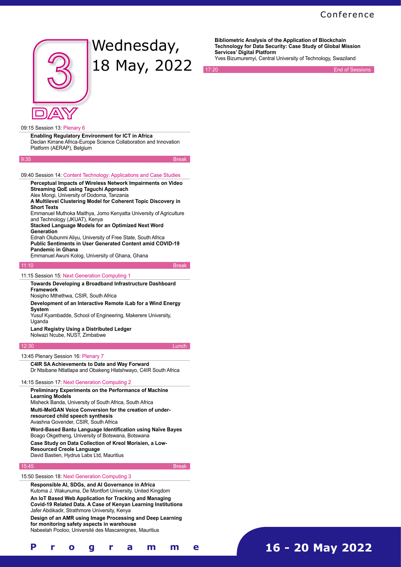# **Conference**



# Wednesday, 18 May, 2022

**Services' Digital Platform** Yves Bizumuremyi, Central University of Technology, Swaziland

**End of Sessions** 

**Bibliometric Analysis of the Application of Blockchain Technology for Data Security: Case Study of Global Mission** 

# 09:15 Session 13: Plenary 6

**Enabling Regulatory Environment for ICT in Africa** Declan Kirrane Africa-Europe Science Collaboration and Innovation Platform (AERAP), Belgium

9:35 Break

# 09:40 Session 14: Content Technology: Applications and Case Studies

**Perceptual Impacts of Wireless Network Impairments on Video Streaming QoE using Taguchi Approach** Alex Mongi, University of Dodoma, Tanzania

**A Multilevel Clustering Model for Coherent Topic Discovery in Short Texts**

Emmanuel Muthoka Maithya, Jomo Kenyatta University of Agriculture and Technology (JKUAT), Kenya

**Stacked Language Models for an Optimized Next Word Generation**

Ednah Olubunmi Aliyu, University of Free State, South Africa **Public Sentiments in User Generated Content amid COVID-19 Pandemic in Ghana**

Emmanuel Awuni Kolog, University of Ghana, Ghana

11:10 Break

# 11:15 Session 15: Next Generation Computing 1

**Towards Developing a Broadband Infrastructure Dashboard Framework**

Nosipho Mthethwa, CSIR, South Africa

# **Development of an Interactive Remote iLab for a Wind Energy System**

Yusuf Kyambadde, School of Engineering, Makerere University, Uganda<sup>-</sup>

# **Land Registry Using a Distributed Ledger** Nolwazi Ncube, NUST, Zimbabwe

# 12:30 Lunch **Lunch Lunch**

13:45 Plenary Session 16: Plenary 7

**C4IR SA Achievements to Date and Way Forward** Dr Ntsibane Ntlatlapa and Obakeng Hlatshwayo, C4IR South Africa

# 14:15 Session 17: Next Generation Computing 2

**Preliminary Experiments on the Performance of Machine Learning Models**

Misheck Banda, University of South Africa, South Africa

**Multi-MelGAN Voice Conversion for the creation of under-**

# **resourced child speech synthesis** Avashna Govender, CSIR, South Africa

**Word-Based Bantu Language Identification using Naïve Bayes** Boago Okgetheng, University of Botswana, Botswana

**Case Study on Data Collection of Kreol Morisien, a Low-Resourced Creole Language**

David Bastien, Hydrus Labs Ltd, Mauritius

## 15:45 Break

15:50 Session 18: Next Generation Computing 3

**Responsible AI, SDGs, and AI Governance in Africa** Kutoma J. Wakunuma, De Montfort University, United Kingdom **An IoT Based Web Application for Tracking and Managing Covid-19 Related Data. A Case of Kenyan Learning Institutions** Jafer Abdikadir, Strathmore University, Kenya

**Design of an AMR using Image Processing and Deep Learning for monitoring safety aspects in warehouse** Nabeelah Pooloo, Université des Mascareignes, Mauritius

**16 - 20 May 2022**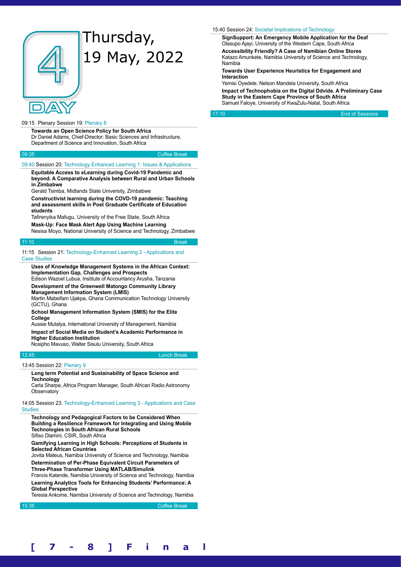

# Thursday, 19 May, 2022

# 09:15 Plenary Session 19: Plenary 8

**Towards an Open Science Policy for South Africa** Dr Daniel Adams, Chief-Director: Basic Sciences and Infrastructure, Department of Science and Innovation, South Africa

| 09:35 | <b>Coffee Break</b> |
|-------|---------------------|
|       |                     |

# 09:40 Session 20: Technology Enhanced Learning 1: Issues & Applications

**Equitable Access to eLearning during Covid-19 Pandemic and beyond. A Comparative Analysis between Rural and Urban Schools in Zimbabwe**

Gerald Tsimba, Midlands State University, Zimbabwe

**Constructivist learning during the COVD-19 pandemic: Teaching and assessment skills in Post Graduate Certificate of Education students**

Tafirenyika Mafugu, University of the Free State, South Africa **Mask-Up: Face Mask Alert App Using Machine Learning**

Nesisa Moyo, National University of Science and Technology, Zimbabwe

### 11:10 Break and the contract of the contract of the contract of the Break

11:15 Session 21: Technology-Enhanced Learning 2 - Applications and Case Studies

**Uses of Knowledge Management Systems in the African Context: Implementation Gap, Challenges and Prospects**

Edison Wazoel Lubua, Institute of Accountancy Arusha, Tanzania

**Development of the Greenwell Matongo Community Library Management Information System (LMIS)**

Martin Mabeifam Ujakpa, Ghana Communication Technology University (GCTU), Ghana

**School Management Information System (SMIS) for the Elite College**

Aussie Mutalya, International University of Management, Namibia **Impact of Social Media on Student's Academic Performance in Higher Education Institution**

Nosipho Mavuso, Walter Sisulu University, South Africa

### 12:45 Lunch Break

# 13:45 Session 22: Plenary 9

**Long term Potential and Sustainability of Space Science and Technology**

Carla Sharpe, Africa Program Manager, South African Radio Astronomy **Observatory** 

14:05 Session 23: Technology-Enhanced Learning 3 - Applications and Case **Studies** 

**Technology and Pedagogical Factors to be Considered When Building a Resilience Framework for Integrating and Using Mobile Technologies in South African Rural Schools** Sifiso Dlamini, CSIR, South Africa

# **Gamifying Learning in High Schools: Perceptions of Students in Selected African Countries**

Jovita Mateus, Namibia University of Science and Technology, Namibia **Determination of Per-Phase Equivalent Circuit Parameters of** 

**Three-Phase Transformer Using MATLAB/Simulink** Francis Katende, Namibia University of Science and Technology, Namibia **Learning Analytics Tools for Enhancing Students' Performance: A Global Perspective**

Teresia Ankome, Namibia University of Science and Technology, Namibia

15:35 Coffee Break and the contract of the contract of the contract of the Coffee Break

# 15:40 Session 24: Societal Implications of Technology

**SignSupport: An Emergency Mobile Application for the Deaf** Olasupo Ajayi, University of the Western Cape, South Africa **Accessibility Friendly? A Case of Namibian Online Stores** Katazo Amunkete, Namibia University of Science and Technology, Namibia

**Towards User Experience Heuristics for Engagement and Interaction**

Yemisi Oyedele, Nelson Mandela University, South Africa **Impact of Technophobia on the Digital Ddvide. A Preliminary Case Study in the Eastern Cape Province of South Africa** Samuel Faloye, University of KwaZulu-Natal, South Africa

17:10 End of Sessions

**[ 7 - 8 ] F i n a l P r o g r a m m e**